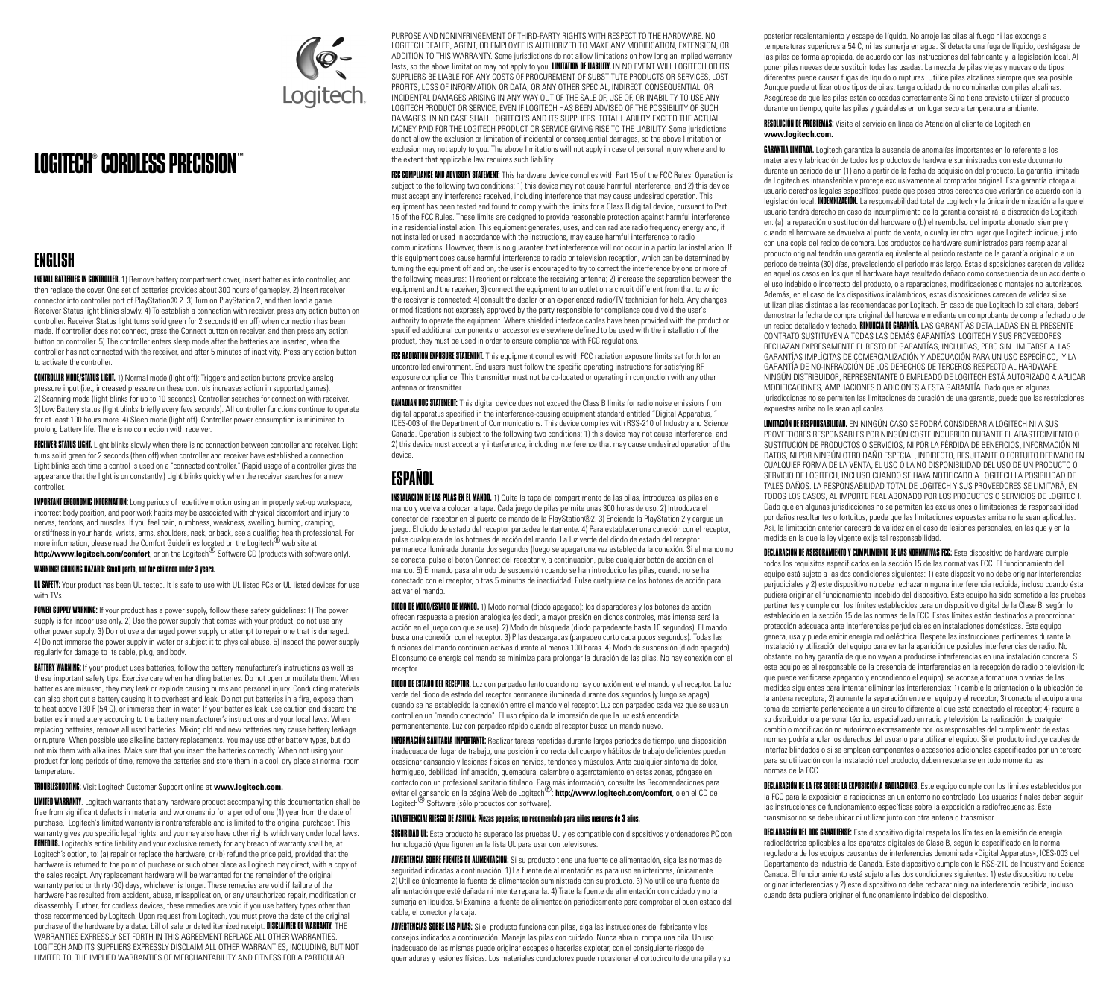

# LOGITECH® CORDLESSPRECISION™

### ENGLISH

**INSTALL BATTERIES IN CONTROLLER.** 1) Remove battery compartment cover, insert batteries into controller, and then replace the cover. One set of batteries provides about 300 hours of gameplay. 2) Insert receiver connector into controller port of PlayStation® 2. 3) Turn on PlayStation 2, and then load a game. Receiver Status light blinks slowly. 4) To establish a connection with receiver, press any action button on controller. Receiver Status light turns solid green for 2 seconds (then off) when connection has been made. If controller does not connect, press the Connect button on receiver, and then press any action button on controller. 5) The controller enters sleep mode after the batteries are inserted, when the controller has not connected with the receiver, and after 5 minutes of inactivity. Press any action button to activate the controller.

**CONTROLLER MODE/STATUS LIGHT.** 1) Normal mode (light off): Triggers and action buttons provide analog pressure input (i.e., increased pressure on these controls increases action in supported games). 2) Scanning mode (light blinks for up to 10 seconds). Controller searches for connection with receiver. 3) Low Battery status (light blinks briefly every few seconds). All controller functions continue to operate for at least 100 hours more. 4) Sleep mode (light off). Controller power consumption is minimized to prolong battery life. There is no connection with receiver.

RECEIVER STATUS LIGHT. Light blinks slowly when there is no connection between controller and receiver. Light turns solid green for 2 seconds (then off) when controller and receiver have established a connection. Light blinks each time a control is used on a "connected controller." (Rapid usage of a controller gives the appearance that the light is on constantly.) Light blinks quickly when the receiver searches for a new controller.

**IMPORTANT ERGONOMIC INFORMATION:** Long periods of repetitive motion using an improperly set-up workspace, incorrect body position, and poor work habits may be associated with physical discomfort and injury to nerves, tendons, and muscles. If you feel pain, numbness, weakness, swelling, burning, cramping, or stiffness in your hands, wrists, arms, shoulders, neck, or back, see a qualified health professional. For more information, please read the Comfort Guidelines located on the Logitech® web site at **http://www.logitech.com/comfort**, or on the Logitech® Software CD (products with software only).

#### WARNING! CHOKING HAZARD: Small parts, not for children under 3 years.

**UL SAFETY:** Your product has been UL tested. It is safe to use with UL listed PCs or UL listed devices for use with TVs.

POWER SUPPLY WARNING: If your product has a power supply, follow these safety guidelines: 1) The power supply is for indoor use only. 2) Use the power supply that comes with your product; do not use any other power supply. 3) Do not use a damaged power supply or attempt to repair one that is damaged. 4) Do not immerse the power supply in water or subject it to physical abuse. 5) Inspect the power supply regularly for damage to its cable, plug, and body.

**BATTERY WARNING:** If your product uses batteries, follow the battery manufacturer's instructions as well as these important safety tips. Exercise care when handling batteries. Do not open or mutilate them. When batteries are misused, they may leak or explode causing burns and personal injury. Conducting materials can also short out a battery causing it to overheat and leak. Do not put batteries in a fire, expose them to heat above 130 F (54 C), or immerse them in water. If your batteries leak, use caution and discard the batteries immediately according to the battery manufacturer's instructions and your local laws. When replacing batteries, remove all used batteries. Mixing old and new batteries may cause battery leakage or rupture. When possible use alkaline battery replacements. You may use other battery types, but do not mix them with alkalines. Make sure that you insert the batteries correctly. When not using your product for long periods of time, remove the batteries and store them in a cool, dry place at normal room temperature.

#### TROUBLESHOOTING: Visit Logitech Customer Support online at **www.logitech.com.**

LIMITED WARRANTY. Logitech warrants that any hardware product accompanying this documentation shall be free from significant defects in material and workmanship for a period of one (1) year from the date of purchase. Logitech's limited warranty is nontransferable and is limited to the original purchaser. This warranty gives you specific legal rights, and you may also have other rights which vary under local laws. REMEDIES. Logitech's entire liability and your exclusive remedy for any breach of warranty shall be, at Logitech's option, to: (a) repair or replace the hardware, or (b) refund the price paid, provided that the hardware is returned to the point of purchase or such other place as Logitech may direct, with a copy of the sales receipt. Any replacement hardware will be warranted for the remainder of the original warranty period or thirty (30) days, whichever is longer. These remedies are void if failure of the hardware has resulted from accident, abuse, misapplication, or any unauthorized repair, modification or disassembly. Further, for cordless devices, these remedies are void if you use battery types other than those recommended by Logitech. Upon request from Logitech, you must prove the date of the original purchase of the hardware by a dated bill of sale or dated itemized receipt. DISCLAIMER OF WARRANTY. THE WARRANTIES EXPRESSLY SET FORTH IN THIS AGREEMENT REPLACE ALL OTHER WARRANTIES. LOGITECH AND ITS SUPPLIERS EXPRESSLY DISCLAIM ALL OTHER WARRANTIES, INCLUDING, BUT NOT LIMITED TO, THE IMPLIED WARRANTIES OF MERCHANTABILITY AND FITNESS FOR A PARTICULAR

PURPOSE AND NONINFRINGEMENT OF THIRD-PARTY RIGHTS WITH RESPECT TO THE HARDWARE. NO LOGITECH DEALER, AGENT, OR EMPLOYEE IS AUTHORIZED TO MAKE ANY MODIFICATION, EXTENSION, OR ADDITION TO THIS WARRANTY. Some jurisdictions do not allow limitations on how long an implied warranty lasts, so the above limitation may not apply to you. LIMITATION OF LIABILITY. IN NO EVENT WILL LOGITECH OR ITS SUPPLIERS BE LIABLE FOR ANY COSTS OF PROCUREMENT OF SUBSTITUTE PRODUCTS OR SERVICES, LOST PROFITS, LOSS OF INFORMATION OR DATA, OR ANY OTHER SPECIAL, INDIRECT, CONSEQUENTIAL, OR INCIDENTAL DAMAGES ARISING IN ANY WAY OUT OF THE SALE OF, USE OF, OR INABILITY TO USE ANY LOGITECH PRODUCT OR SERVICE, EVEN IF LOGITECH HAS BEEN ADVISED OF THE POSSIBILITY OF SUCH DAMAGES. IN NO CASE SHALL LOGITECH'S AND ITS SUPPLIERS' TOTAL LIABILITY EXCEED THE ACTUAL MONEY PAID FOR THE LOGITECH PRODUCT OR SERVICE GIVING RISE TO THE LIABILITY. Some jurisdictions do not allow the exclusion or limitation of incidental or consequential damages, so the above limitation or exclusion may not apply to you. The above limitations will not apply in case of personal injury where and to the extent that applicable law requires such liability.

FCC COMPLIANCE AND ADVISORY STATEMENT: This hardware device complies with Part 15 of the FCC Rules. Operation is subject to the following two conditions: 1) this device may not cause harmful interference, and 2) this device must accept any interference received, including interference that may cause undesired operation. This equipment has been tested and found to comply with the limits for a Class B digital device, pursuant to Part 15 of the FCC Rules. These limits are designed to provide reasonable protection against harmful interference in a residential installation. This equipment generates, uses, and can radiate radio frequency energy and, if not installed or used in accordance with the instructions, may cause harmful interference to radio communications. However, there is no guarantee that interference will not occur in a particular installation. If this equipment does cause harmful interference to radio or television reception, which can be determined by turning the equipment off and on, the user is encouraged to try to correct the interference by one or more of the following measures: 1) reorient or relocate the receiving antenna; 2) increase the separation between the equipment and the receiver; 3) connect the equipment to an outlet on a circuit different from that to which the receiver is connected; 4) consult the dealer or an experienced radio/TV technician for help. Any changes or modifications not expressly approved by the party responsible for compliance could void the user's authority to operate the equipment. Where shielded interface cables have been provided with the product or specified additional components or accessories elsewhere defined to be used with the installation of the product, they must be used in order to ensure compliance with FCC regulations.

FCC RADIATION EXPOSURE STATEMENT. This equipment complies with FCC radiation exposure limits set forth for an uncontrolled environment. End users must follow the specific operating instructions for satisfying RF exposure compliance. This transmitter must not be co-located or operating in conjunction with any other antenna or transmitter.

CANADIAN DOC STATEMENT: This digital device does not exceed the Class B limits for radio noise emissions from digital apparatus specified in the interference-causing equipment standard entitled "Digital Apparatus, ICES-003 of the Department of Communications. This device complies with RSS-210 of Industry and Science Canada. Operation is subject to the following two conditions: 1) this device may not cause interference, and 2) this device must accept any interference, including interference that may cause undesired operation of the device.

# ESPAÑOL

INSTALACIÓN DE LAS PILAS EN EL MANDO. 1) Quite la tapa del compartimento de las pilas, introduzca las pilas en el mando y vuelva a colocar la tapa. Cada juego de pilas permite unas 300 horas de uso. 2) Introduzca el conector del receptor en el puerto de mando de la PlayStation®2. 3) Encienda la PlayStation 2 y cargue un juego. El diodo de estado del receptor parpadea lentamente. 4) Para establecer una conexión con el receptor, pulse cualquiera de los botones de acción del mando. La luz verde del diodo de estado del receptor permanece iluminada durante dos segundos (luego se apaga) una vez establecida la conexión. Si el mando no se conecta, pulse el botón Connect del receptor y, a continuación, pulse cualquier botón de acción en el mando. 5) El mando pasa al modo de suspensión cuando se han introducido las pilas, cuando no se ha conectado con el receptor, o tras 5 minutos de inactividad. Pulse cualquiera de los botones de acción para activar el mando.

DIODO DE MODO/ESTADO DE MANDO. 1) Modo normal (diodo apagado): los disparadores y los botones de acción ofrecen respuesta a presión analógica (es decir, a mayor presión en dichos controles, más intensa será la acción en el juego con que se use). 2) Modo de búsqueda (diodo parpadeante hasta 10 segundos). El mando busca una conexión con el receptor. 3) Pilas descargadas (parpadeo corto cada pocos segundos). Todas las funciones del mando continúan activas durante al menos 100 horas. 4) Modo de suspensión (diodo apagado). El consumo de energía del mando se minimiza para prolongar la duración de las pilas. No hay conexión con el receptor.

DIODO DE ESTADO DEL RECEPTOR. Luz con parpadeo lento cuando no hay conexión entre el mando y el receptor. La luz verde del diodo de estado del receptor permanece iluminada durante dos segundos (y luego se apaga) cuando se ha establecido la conexión entre el mando y el receptor. Luz con parpadeo cada vez que se usa un control en un "mando conectado". El uso rápido da la impresión de que la luz está encendida permanentemente. Luz con parpadeo rápido cuando el receptor busca un mando nuevo.

INFORMACIÓN SANITARIA IMPORTANTE: Realizar tareas repetidas durante largos periodos de tiempo, una disposición inadecuada del lugar de trabajo, una posición incorrecta del cuerpo y hábitos de trabajo deficientes pueden ocasionar cansancio y lesiones físicas en nervios, tendones y músculos. Ante cualquier síntoma de dolor, hormigueo, debilidad, inflamación, quemadura, calambre o agarrotamiento en estas zonas, póngase en contacto con un profesional sanitario titulado. Para más información, consulte las Recomendaciones para evitar el cansancio en la página Web de Logitech®: **http://www.logitech.com/comfort**, o en el CD de Logitech<sup>®</sup> Software (sólo productos con software).

#### ¡ADVERTENCIA! RIESGO DE ASFIXIA: Piezas pequeñas; no recomendado para niños menores de 3 años.

SEGURIDAD UL: Este producto ha superado las pruebas UL y es compatible con dispositivos y ordenadores PC con homologación/que figuren en la lista UL para usar con televisores.

ADVERTENCIA SOBRE FUENTES DE ALIMENTACIÓN: Si su producto tiene una fuente de alimentación, siga las normas de seguridad indicadas a continuación. 1) La fuente de alimentación es para uso en interiores, únicamente. 2) Utilice únicamente la fuente de alimentación suministrada con su producto. 3) No utilice una fuente de alimentación que esté dañada ni intente repararla. 4) Trate la fuente de alimentación con cuidado y no la sumerja en líquidos. 5) Examine la fuente de alimentación periódicamente para comprobar el buen estado del cable, el conector y la caja.

ADVERTENCIAS SOBRE LAS PILAS: Si el producto funciona con pilas, siga las instrucciones del fabricante y los consejos indicados a continuación. Maneje las pilas con cuidado. Nunca abra ni rompa una pila. Un uso inadecuado de las mismas puede originar escapes o hacerlas explotar, con el consiguiente riesgo de quemaduras y lesiones físicas. Los materiales conductores pueden ocasionar el cortocircuito de una pila y su

posterior recalentamiento y escape de líquido. No arroje las pilas al fuego ni las exponga a temperaturas superiores a 54 C, ni las sumerja en agua. Si detecta una fuga de líquido, deshágase de las pilas de forma apropiada, de acuerdo con las instrucciones del fabricante y la legislación local. Al poner pilas nuevas debe sustituir todas las usadas. La mezcla de pilas viejas y nuevas o de tipos diferentes puede causar fugas de líquido o rupturas. Utilice pilas alcalinas siempre que sea posible. Aunque puede utilizar otros tipos de pilas, tenga cuidado de no combinarlas con pilas alcalinas. Asegúrese de que las pilas están colocadas correctamente Si no tiene previsto utilizar el producto durante un tiempo, quite las pilas y guárdelas en un lugar seco a temperatura ambiente.

RESOLUCIÓN DE PROBLEMAS: Visite el servicio en línea de Atención al cliente de Logitech en **www.logitech.com.**

GARANTÍA LIMITADA. Logitech garantiza la ausencia de anomalías importantes en lo referente a los materiales y fabricación de todos los productos de hardware suministrados con este documento durante un periodo de un (1) año a partir de la fecha de adquisición del producto. La garantía limitada de Logitech es intransferible y protege exclusivamente al comprador original. Esta garantía otorga al usuario derechos legales específicos; puede que posea otros derechos que variarán de acuerdo con la legislación local. **INDEMNIZACIÓN.** La responsabilidad total de Logitech y la única indemnización a la que el usuario tendrá derecho en caso de incumplimiento de la garantía consistirá, a discreción de Logitech, en: (a) la reparación o sustitución del hardware o (b) el reembolso del importe abonado, siempre y cuando el hardware se devuelva al punto de venta, o cualquier otro lugar que Logitech indique, junto con una copia del recibo de compra. Los productos de hardware suministrados para reemplazar al producto original tendrán una garantía equivalente al periodo restante de la garantía original o a un periodo de treinta (30) días, prevaleciendo el periodo más largo. Estas disposiciones carecen de validez en aquellos casos en los que el hardware haya resultado dañado como consecuencia de un accidente o el uso indebido o incorrecto del producto, o a reparaciones, modificaciones o montajes no autorizados. Además, en el caso de los dispositivos inalámbricos, estas disposiciones carecen de validez si se utilizan pilas distintas a las recomendadas por Logitech. En caso de que Logitech lo solicitara, deberá demostrar la fecha de compra original del hardware mediante un comprobante de compra fechado o de un recibo detallado y fechado. RENUNCIA DE GARANTÍA. LAS GARANTÍAS DETALLADAS EN EL PRESENTE CONTRATO SUSTITUYEN A TODAS LAS DEMÁS GARANTÍAS. LOGITECH Y SUS PROVEEDORES RECHAZAN EXPRESAMENTE EL RESTO DE GARANTÍAS, INCLUIDAS, PERO SIN LIMITARSE A, LAS GARANTÍAS IMPLÍCITAS DE COMERCIALIZACIÓN Y ADECUACIÓN PARA UN USO ESPECÍFICO, Y LA GARANTÍA DE NO-INFRACCIÓN DE LOS DERECHOS DE TERCEROS RESPECTO AL HARDWARE. NINGÚN DISTRIBUIDOR, REPRESENTANTE O EMPLEADO DE LOGITECH ESTÁ AUTORIZADO A APLICAR MODIFICACIONES, AMPLIACIONES O ADICIONES A ESTA GARANTÍA. Dado que en algunas jurisdicciones no se permiten las limitaciones de duración de una garantía, puede que las restricciones expuestas arriba no le sean aplicables.

LIMITACIÓN DE RESPONSABILIDAD. EN NINGÚN CASO SE PODRÁ CONSIDERAR A LOGITECH NI A SUS PROVEEDORES RESPONSABLES POR NINGÚN COSTE INCURRIDO DURANTE EL ABASTECIMIENTO O SUSTITUCIÓN DE PRODUCTOS O SERVICIOS, NI POR LA PÉRDIDA DE BENEFICIOS, INFORMACIÓN NI DATOS, NI POR NINGÚN OTRO DAÑO ESPECIAL, INDIRECTO, RESULTANTE O FORTUITO DERIVADO EN CUALQUIER FORMA DE LA VENTA, EL USO O LA NO DISPONIBILIDAD DEL USO DE UN PRODUCTO O SERVICIO DE LOGITECH, INCLUSO CUANDO SE HAYA NOTIFICADO A LOGITECH LA POSIBILIDAD DE TALES DAÑOS. LA RESPONSABILIDAD TOTAL DE LOGITECH Y SUS PROVEEDORES SE LIMITARÁ, EN TODOS LOS CASOS, AL IMPORTE REAL ABONADO POR LOS PRODUCTOS O SERVICIOS DE LOGITECH. Dado que en algunas jurisdicciones no se permiten las exclusiones o limitaciones de responsabilidad por daños resultantes o fortuitos, puede que las limitaciones expuestas arriba no le sean aplicables. Así, la limitación anterior carecerá de validez en el caso de lesiones personales, en las que y en la medida en la que la ley vigente exija tal responsabilidad.

DECLARACIÓN DE ASESORAMIENTO Y CUMPLIMIENTO DE LAS NORMATIVAS FCC: Este dispositivo de hardware cumple todos los requisitos especificados en la sección 15 de las normativas FCC. El funcionamiento del equipo está sujeto a las dos condiciones siguientes: 1) este dispositivo no debe originar interferencias perjudiciales y 2) este dispositivo no debe rechazar ninguna interferencia recibida, incluso cuando ésta pudiera originar el funcionamiento indebido del dispositivo. Este equipo ha sido sometido a las pruebas pertinentes y cumple con los límites establecidos para un dispositivo digital de la Clase B, según lo establecido en la sección 15 de las normas de la FCC. Estos límites están destinados a proporcionar protección adecuada ante interferencias perjudiciales en instalaciones domésticas. Este equipo genera, usa y puede emitir energía radioeléctrica. Respete las instrucciones pertinentes durante la instalación y utilización del equipo para evitar la aparición de posibles interferencias de radio. No obstante, no hay garantía de que no vayan a producirse interferencias en una instalación concreta. Si este equipo es el responsable de la presencia de interferencias en la recepción de radio o televisión (lo que puede verificarse apagando y encendiendo el equipo), se aconseja tomar una o varias de las medidas siguientes para intentar eliminar las interferencias: 1) cambie la orientación o la ubicación de la antena receptora; 2) aumente la separación entre el equipo y el receptor; 3) conecte el equipo a una toma de corriente perteneciente a un circuito diferente al que está conectado el receptor; 4) recurra a su distribuidor o a personal técnico especializado en radio y televisión. La realización de cualquier cambio o modificación no autorizado expresamente por los responsables del cumplimiento de estas normas podría anular los derechos del usuario para utilizar el equipo. Si el producto incluye cables de interfaz blindados o si se emplean componentes o accesorios adicionales especificados por un tercero para su utilización con la instalación del producto, deben respetarse en todo momento las normas de la FCC.

DECLARACIÓN DE LA FCC SOBRE LA EXPOSICIÓN A RADIACIONES. Este equipo cumple con los limites establecidos por la FCC para la exposición a radiaciones en un entorno no controlado. Los usuarios finales deben seguir las instrucciones de funcionamiento específicas sobre la exposición a radiofrecuencias. Este transmisor no se debe ubicar ni utilizar junto con otra antena o transmisor.

DECLARACIÓN DEL DOC CANADIENSE: Este dispositivo digital respeta los límites en la emisión de energía radioeléctrica aplicables a los aparatos digitales de Clase B, según lo especificado en la norma reguladora de los equipos causantes de interferencias denominada «Digital Apparatus», ICES-003 del Departamento de Industria de Canadá. Este dispositivo cumple con la RSS-210 de Industry and Science Canada. El funcionamiento está sujeto a las dos condiciones siguientes: 1) este dispositivo no debe originar interferencias y 2) este dispositivo no debe rechazar ninguna interferencia recibida, incluso cuando ésta pudiera originar el funcionamiento indebido del dispositivo.